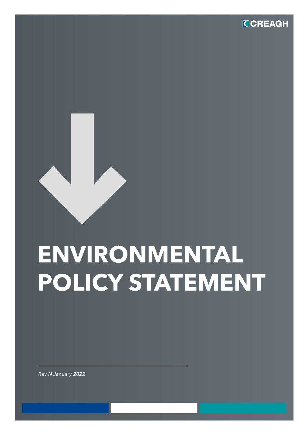

## **ENVIRONMENTAL POLICY STATEMENT**

*Rev N January 2022*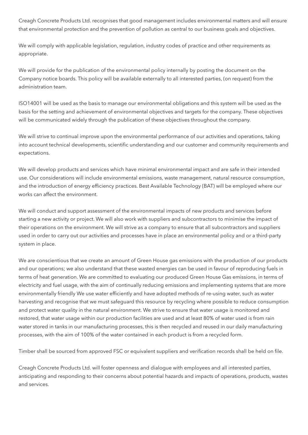Creagh Concrete Products Ltd. recognises that good management includes environmental matters and will ensure that environmental protection and the prevention of pollution as central to our business goals and objectives.

We will comply with applicable legislation, regulation, industry codes of practice and other requirements as appropriate.

We will provide for the publication of the environmental policy internally by posting the document on the Company notice boards. This policy will be available externally to all interested parties, (on request) from the administration team.

ISO14001 will be used as the basis to manage our environmental obligations and this system will be used as the basis for the setting and achievement of environmental objectives and targets for the company. These objectives will be communicated widely through the publication of these objectives throughout the company.

We will strive to continual improve upon the environmental performance of our activities and operations, taking into account technical developments, scientific understanding and our customer and community requirements and expectations.

We will develop products and services which have minimal environmental impact and are safe in their intended use. Our considerations will include environmental emissions, waste management, natural resource consumption, and the introduction of energy efficiency practices. Best Available Technology (BAT) will be employed where our works can affect the environment.

We will conduct and support assessment of the environmental impacts of new products and services before starting a new activity or project. We will also work with suppliers and subcontractors to minimise the impact of their operations on the environment. We will strive as a company to ensure that all subcontractors and suppliers used in order to carry out our activities and processes have in place an environmental policy and or a third-party system in place.

We are conscientious that we create an amount of Green House gas emissions with the production of our products and our operations; we also understand that these wasted energies can be used in favour of reproducing fuels in terms of heat generation. We are committed to evaluating our produced Green House Gas emissions, in terms of electricity and fuel usage, with the aim of continually reducing emissions and implementing systems that are more environmentally friendly We use water efficiently and have adopted methods of re-using water, such as water harvesting and recognise that we must safeguard this resource by recycling where possible to reduce consumption and protect water quality in the natural environment. We strive to ensure that water usage is monitored and restored, that water usage within our production facilities are used and at least 80% of water used is from rain water stored in tanks in our manufacturing processes, this is then recycled and reused in our daily manufacturing processes, with the aim of 100% of the water contained in each product is from a recycled form.

Timber shall be sourced from approved FSC or equivalent suppliers and verification records shall be held on file.

Creagh Concrete Products Ltd. will foster openness and dialogue with employees and all interested parties, anticipating and responding to their concerns about potential hazards and impacts of operations, products, wastes and services.